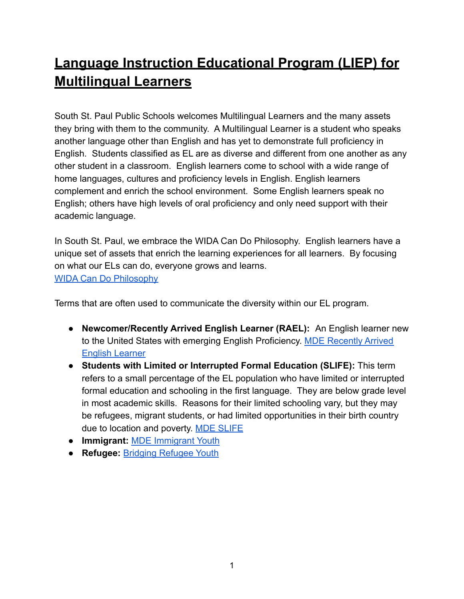# **Language Instruction Educational Program (LIEP) for Multilingual Learners**

South St. Paul Public Schools welcomes Multilingual Learners and the many assets they bring with them to the community. A Multilingual Learner is a student who speaks another language other than English and has yet to demonstrate full proficiency in English. Students classified as EL are as diverse and different from one another as any other student in a classroom. English learners come to school with a wide range of home languages, cultures and proficiency levels in English. English learners complement and enrich the school environment. Some English learners speak no English; others have high levels of oral proficiency and only need support with their academic language.

In South St. Paul, we embrace the WIDA Can Do Philosophy. English learners have a unique set of assets that enrich the learning experiences for all learners. By focusing on what our ELs can do, everyone grows and learns. [WIDA Can Do Philosophy](https://uonline.education.wisc.edu/articulate/WIDA/instructional-planning/topic1/story_content/external_files/CAN_DO_Philosophy.pdf)

Terms that are often used to communicate the diversity within our EL program.

- **● Newcomer/Recently Arrived English Learner (RAEL):** An English learner new to the United States with emerging English Proficiency. [MDE Recently Arrived](https://education.mn.gov/mdeprod/idcplg?IdcService=GET_FILE&dDocName=MDE072858&RevisionSelectionMethod=latestReleased&Rendition=primary) [English Learner](https://education.mn.gov/mdeprod/idcplg?IdcService=GET_FILE&dDocName=MDE072858&RevisionSelectionMethod=latestReleased&Rendition=primary)
- **● Students with Limited or Interrupted Formal Education (SLIFE):** This term refers to a small percentage of the EL population who have limited or interrupted formal education and schooling in the first language. They are below grade level in most academic skills. Reasons for their limited schooling vary, but they may be refugees, migrant students, or had limited opportunities in their birth country due to location and poverty. [MDE SLIFE](https://education.mn.gov/MDE/dse/el/slif/)
- **● Immigrant:** [MDE Immigrant Youth](https://education.mn.gov/MDE/dse/ESEA/t3/imm/)
- **● Refugee:** [Bridging Refugee Youth](http://www.brycs.org/)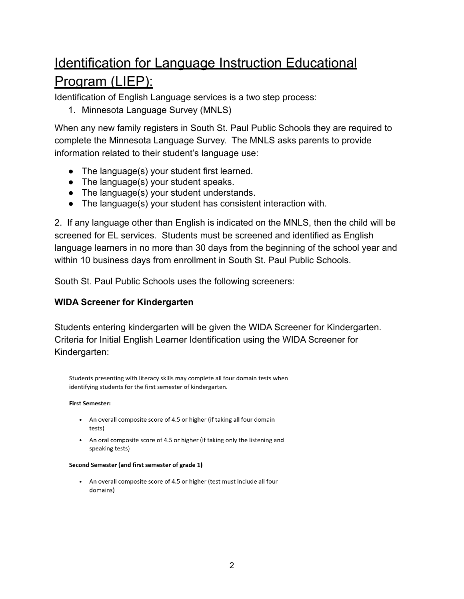# Identification for Language Instruction Educational Program (LIEP):

Identification of English Language services is a two step process:

1. Minnesota Language Survey (MNLS)

When any new family registers in South St. Paul Public Schools they are required to complete the Minnesota Language Survey. The MNLS asks parents to provide information related to their student's language use:

- The language(s) your student first learned.
- The language(s) your student speaks.
- The language(s) your student understands.
- The language(s) your student has consistent interaction with.

2. If any language other than English is indicated on the MNLS, then the child will be screened for EL services. Students must be screened and identified as English language learners in no more than 30 days from the beginning of the school year and within 10 business days from enrollment in South St. Paul Public Schools.

South St. Paul Public Schools uses the following screeners:

#### **WIDA Screener for Kindergarten**

Students entering kindergarten will be given the WIDA Screener for Kindergarten. Criteria for Initial English Learner Identification using the WIDA Screener for Kindergarten:

Students presenting with literacy skills may complete all four domain tests when identifying students for the first semester of kindergarten.

#### **First Semester:**

- An overall composite score of 4.5 or higher (if taking all four domain tests)
- An oral composite score of 4.5 or higher (if taking only the listening and speaking tests)

#### Second Semester (and first semester of grade 1)

• An overall composite score of 4.5 or higher (test must include all four domains)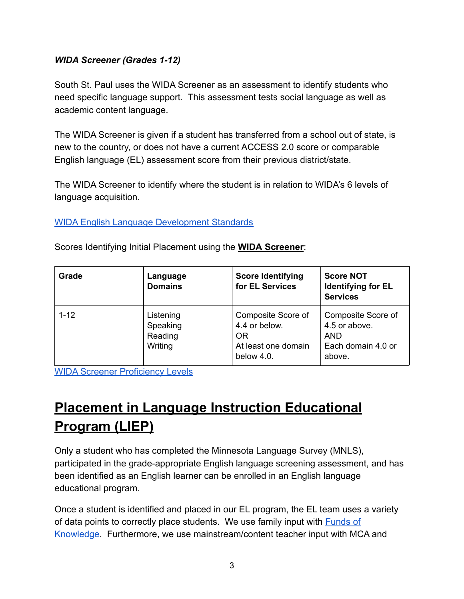#### *WIDA Screener (Grades 1-12)*

South St. Paul uses the WIDA Screener as an assessment to identify students who need specific language support. This assessment tests social language as well as academic content language.

The WIDA Screener is given if a student has transferred from a school out of state, is new to the country, or does not have a current ACCESS 2.0 score or comparable English language (EL) assessment score from their previous district/state.

The WIDA Screener to identify where the student is in relation to WIDA's 6 levels of language acquisition.

[WIDA English Language Development Standards](https://www.wida.us/standards/eld.aspx)

| <b>Grade</b> | Language<br><b>Domains</b>                  | <b>Score Identifying</b><br>for EL Services                                    | <b>Score NOT</b><br><b>Identifying for EL</b><br><b>Services</b>                  |
|--------------|---------------------------------------------|--------------------------------------------------------------------------------|-----------------------------------------------------------------------------------|
| $1 - 12$     | Listening<br>Speaking<br>Reading<br>Writing | Composite Score of<br>4.4 or below.<br>OR<br>At least one domain<br>below 4.0. | Composite Score of<br>4.5 or above.<br><b>AND</b><br>Each domain 4.0 or<br>above. |

Scores Identifying Initial Placement using the **WIDA Screener**:

[WIDA Screener Proficiency Levels](https://education.mn.gov/MDE/dse/el/sup/)

# **Placement in Language Instruction Educational Program (LIEP)**

Only a student who has completed the Minnesota Language Survey (MNLS), participated in the grade-appropriate English language screening assessment, and has been identified as an English learner can be enrolled in an English language educational program.

Once a student is identified and placed in our EL program, the EL team uses a variety of data points to correctly place students. We use family input with **[Funds of](https://docs.google.com/document/d/1VR_aCqCEscatjptqWNIgc26jOKuLXKZD0W85haG9SNo/edit)** [Knowledge](https://docs.google.com/document/d/1VR_aCqCEscatjptqWNIgc26jOKuLXKZD0W85haG9SNo/edit). Furthermore, we use mainstream/content teacher input with MCA and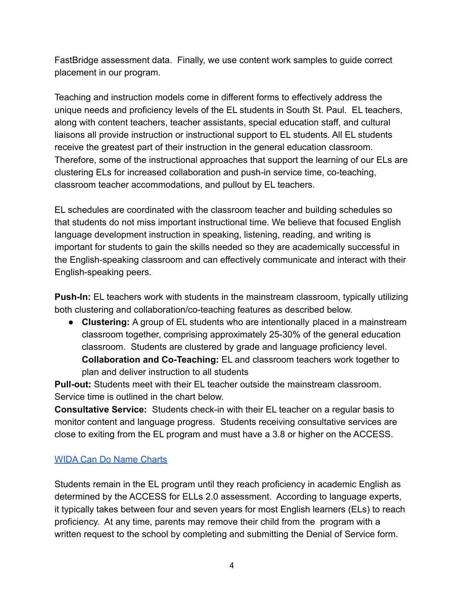FastBridge assessment data. Finally, we use content work samples to guide correct placement in our program.

Teaching and instruction models come in different forms to effectively address the unique needs and proficiency levels of the EL students in South St. Paul. EL teachers, along with content teachers, teacher assistants, special education staff, and cultural liaisons all provide instruction or instructional support to EL students. All EL students receive the greatest part of their instruction in the general education classroom. Therefore, some of the instructional approaches that support the learning of our ELs are clustering ELs for increased collaboration and push-in service time, co-teaching, classroom teacher accommodations, and pullout by EL teachers.

EL schedules are coordinated with the classroom teacher and building schedules so that students do not miss important instructional time. We believe that focused English language development instruction in speaking, listening, reading, and writing is important for students to gain the skills needed so they are academically successful in the English-speaking classroom and can effectively communicate and interact with their English-speaking peers.

**Push-In:** EL teachers work with students in the mainstream classroom, typically utilizing both clustering and collaboration/co-teaching features as described below.

● **Clustering:** A group of EL students who are intentionally placed in a mainstream classroom together, comprising approximately 25-30% of the general education classroom. Students are clustered by grade and language proficiency level. **Collaboration and Co-Teaching:** EL and classroom teachers work together to plan and deliver instruction to all students

**Pull-out:** Students meet with their EL teacher outside the mainstream classroom. Service time is outlined in the chart below.

**Consultative Service:** Students check-in with their EL teacher on a regular basis to monitor content and language progress. Students receiving consultative services are close to exiting from the EL program and must have a 3.8 or higher on the ACCESS.

### [WIDA Can Do Name Charts](https://wida.wisc.edu/sites/default/files/resource/CanDo-Descriptors-Original-Student-Name-Charts.pdf)

Students remain in the EL program until they reach proficiency in academic English as determined by the ACCESS for ELLs 2.0 assessment. According to language experts, it typically takes between four and seven years for most English learners (ELs) to reach proficiency. At any time, parents may remove their child from the program with a written request to the school by completing and submitting the Denial of Service form.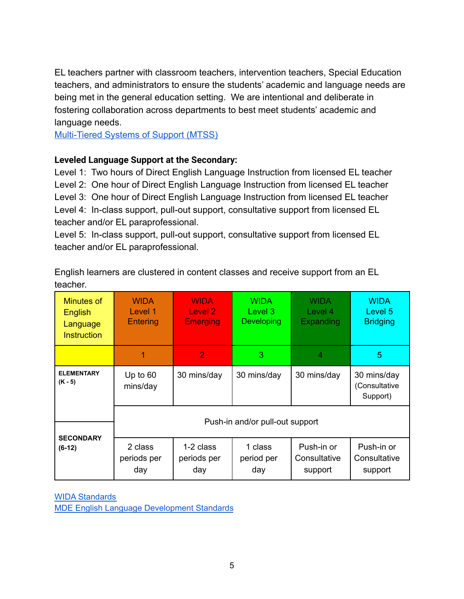EL teachers partner with classroom teachers, intervention teachers, Special Education teachers, and administrators to ensure the students' academic and language needs are being met in the general education setting. We are intentional and deliberate in fostering collaboration across departments to best meet students' academic and language needs.

[Multi-Tiered Systems of Support \(MTSS\)](https://www.sspps.org/Page/1245)

#### **Leveled Language Support at the Secondary:**

Level 1: Two hours of Direct English Language Instruction from licensed EL teacher Level 2: One hour of Direct English Language Instruction from licensed EL teacher Level 3: One hour of Direct English Language Instruction from licensed EL teacher Level 4: In-class support, pull-out support, consultative support from licensed EL teacher and/or EL paraprofessional.

Level 5: In-class support, pull-out support, consultative support from licensed EL teacher and/or EL paraprofessional.

English learners are clustered in content classes and receive support from an EL teacher.

| Minutes of<br>English<br>Language<br><b>Instruction</b> | <b>WIDA</b><br>Level 1<br>Entering | <b>WIDA</b><br>Level 2<br><b>Emerging</b> | <b>WIDA</b><br>Level 3<br>Developing | <b>WIDA</b><br>Level 4<br>Expanding   | <b>WIDA</b><br>Level 5<br><b>Bridging</b> |
|---------------------------------------------------------|------------------------------------|-------------------------------------------|--------------------------------------|---------------------------------------|-------------------------------------------|
|                                                         | 1                                  | $\overline{2}$                            | 3                                    | 4                                     | 5                                         |
| <b>ELEMENTARY</b><br>$(K - 5)$                          | Up to $60$<br>mins/day             | 30 mins/day                               | 30 mins/day                          | 30 mins/day                           | 30 mins/day<br>(Consultative<br>Support)  |
|                                                         | Push-in and/or pull-out support    |                                           |                                      |                                       |                                           |
| <b>SECONDARY</b><br>$(6-12)$                            | 2 class<br>periods per<br>day      | 1-2 class<br>periods per<br>day           | 1 class<br>period per<br>day         | Push-in or<br>Consultative<br>support | Push-in or<br>Consultative<br>support     |

WIDA [Standards](http://www.wida.us/standards/eld.aspx) MDE English Language [Development](https://education.mn.gov/MDE/dse/el/Stds/) Standards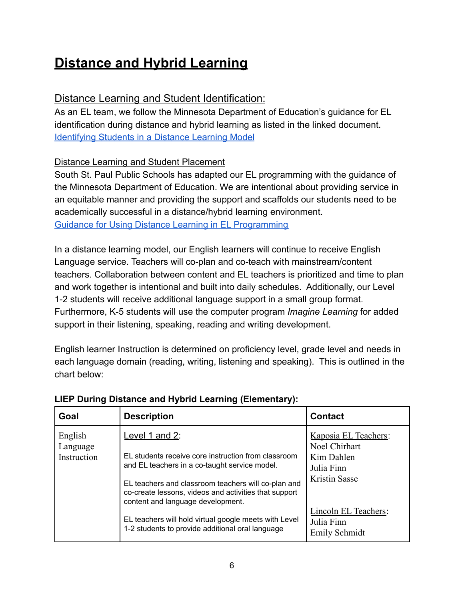### **Distance and Hybrid Learning**

### Distance Learning and Student Identification:

As an EL team, we follow the Minnesota Department of Education's guidance for EL identification during distance and hybrid learning as listed in the linked document. [Identifying Students in a Distance Learning Model](https://education.mn.gov/mdeprod/idcplg?IdcService=GET_FILE&dDocName=MDE032396&RevisionSelectionMethod=latestReleased&Rendition=primary)

### Distance Learning and Student Placement

South St. Paul Public Schools has adapted our EL programming with the guidance of the Minnesota Department of Education. We are intentional about providing service in an equitable manner and providing the support and scaffolds our students need to be academically successful in a distance/hybrid learning environment. [Guidance for Using Distance Learning in EL Programming](https://education.mn.gov/mdeprod/idcplg?IdcService=GET_FILE&dDocName=MDE032164&RevisionSelectionMethod=latestReleased&Rendition=primary)

In a distance learning model, our English learners will continue to receive English Language service. Teachers will co-plan and co-teach with mainstream/content teachers. Collaboration between content and EL teachers is prioritized and time to plan and work together is intentional and built into daily schedules. Additionally, our Level 1-2 students will receive additional language support in a small group format. Furthermore, K-5 students will use the computer program *Imagine Learning* for added support in their listening, speaking, reading and writing development.

English learner Instruction is determined on proficiency level, grade level and needs in each language domain (reading, writing, listening and speaking). This is outlined in the chart below:

| Goal                               | <b>Description</b>                                                                                                                                                                                                                                                                                                                                                                       | <b>Contact</b>                                                                                                                                   |
|------------------------------------|------------------------------------------------------------------------------------------------------------------------------------------------------------------------------------------------------------------------------------------------------------------------------------------------------------------------------------------------------------------------------------------|--------------------------------------------------------------------------------------------------------------------------------------------------|
| English<br>Language<br>Instruction | Level 1 and 2:<br>EL students receive core instruction from classroom<br>and EL teachers in a co-taught service model.<br>EL teachers and classroom teachers will co-plan and<br>co-create lessons, videos and activities that support<br>content and language development.<br>EL teachers will hold virtual google meets with Level<br>1-2 students to provide additional oral language | Kaposia EL Teachers:<br>Noel Chirhart<br>Kim Dahlen<br>Julia Finn<br><b>Kristin Sasse</b><br>Lincoln EL Teachers:<br>Julia Finn<br>Emily Schmidt |

### **LIEP During Distance and Hybrid Learning (Elementary):**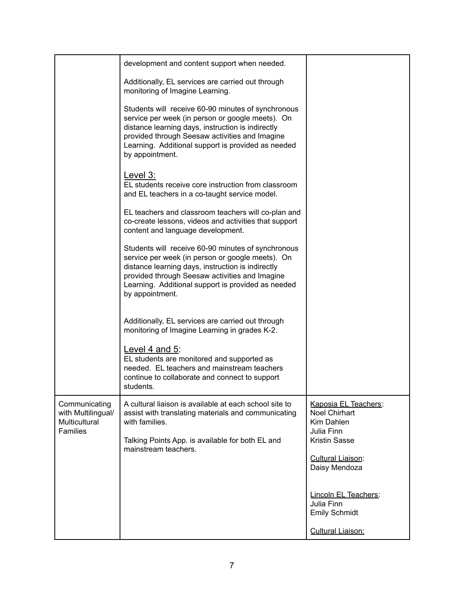|                                                                                | development and content support when needed.                                                                                                                                                                                                                                           |                                                                                                  |
|--------------------------------------------------------------------------------|----------------------------------------------------------------------------------------------------------------------------------------------------------------------------------------------------------------------------------------------------------------------------------------|--------------------------------------------------------------------------------------------------|
|                                                                                | Additionally, EL services are carried out through<br>monitoring of Imagine Learning.                                                                                                                                                                                                   |                                                                                                  |
|                                                                                | Students will receive 60-90 minutes of synchronous<br>service per week (in person or google meets). On<br>distance learning days, instruction is indirectly<br>provided through Seesaw activities and Imagine<br>Learning. Additional support is provided as needed<br>by appointment. |                                                                                                  |
|                                                                                | Level 3:<br>EL students receive core instruction from classroom<br>and EL teachers in a co-taught service model.                                                                                                                                                                       |                                                                                                  |
|                                                                                | EL teachers and classroom teachers will co-plan and<br>co-create lessons, videos and activities that support<br>content and language development.                                                                                                                                      |                                                                                                  |
|                                                                                | Students will receive 60-90 minutes of synchronous<br>service per week (in person or google meets). On<br>distance learning days, instruction is indirectly<br>provided through Seesaw activities and Imagine<br>Learning. Additional support is provided as needed<br>by appointment. |                                                                                                  |
|                                                                                | Additionally, EL services are carried out through<br>monitoring of Imagine Learning in grades K-2.                                                                                                                                                                                     |                                                                                                  |
|                                                                                | Level 4 and $5$ :<br>EL students are monitored and supported as<br>needed. EL teachers and mainstream teachers<br>continue to collaborate and connect to support<br>students.                                                                                                          |                                                                                                  |
| Communicating<br>with Multilingual/<br><b>Multicultural</b><br><b>Families</b> | A cultural liaison is available at each school site to<br>assist with translating materials and communicating<br>with families.<br>Talking Points App. is available for both EL and                                                                                                    | Kaposia EL Teachers:<br><b>Noel Chirhart</b><br>Kim Dahlen<br>Julia Finn<br><b>Kristin Sasse</b> |
|                                                                                | mainstream teachers.                                                                                                                                                                                                                                                                   | Cultural Liaison:<br>Daisy Mendoza                                                               |
|                                                                                |                                                                                                                                                                                                                                                                                        | Lincoln EL Teachers:<br>Julia Finn<br><b>Emily Schmidt</b>                                       |
|                                                                                |                                                                                                                                                                                                                                                                                        | Cultural Liaison:                                                                                |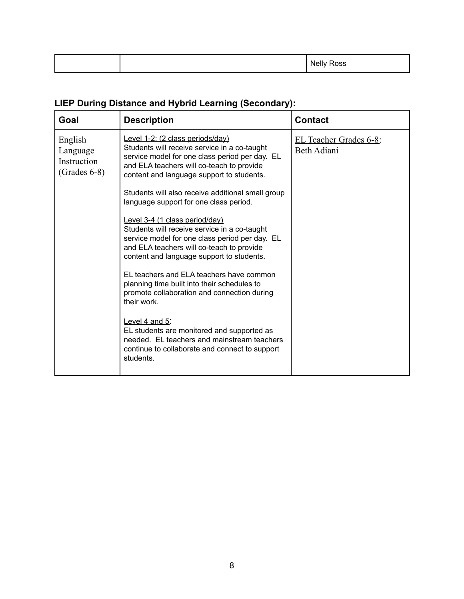|  | N۵<br>י יש<br>. |
|--|-----------------|

### **LIEP During Distance and Hybrid Learning (Secondary):**

| Goal                                                 | <b>Description</b>                                                                                                                                                                                                           | <b>Contact</b>                        |
|------------------------------------------------------|------------------------------------------------------------------------------------------------------------------------------------------------------------------------------------------------------------------------------|---------------------------------------|
| English<br>Language<br>Instruction<br>$(Grades 6-8)$ | Level 1-2: (2 class periods/day)<br>Students will receive service in a co-taught<br>service model for one class period per day. EL<br>and ELA teachers will co-teach to provide<br>content and language support to students. | EL Teacher Grades 6-8:<br>Beth Adiani |
|                                                      | Students will also receive additional small group<br>language support for one class period.                                                                                                                                  |                                       |
|                                                      | Level 3-4 (1 class period/day)<br>Students will receive service in a co-taught<br>service model for one class period per day. EL<br>and ELA teachers will co-teach to provide<br>content and language support to students.   |                                       |
|                                                      | EL teachers and ELA teachers have common<br>planning time built into their schedules to<br>promote collaboration and connection during<br>their work.                                                                        |                                       |
|                                                      | Level $4$ and $5$ :<br>EL students are monitored and supported as<br>needed. EL teachers and mainstream teachers<br>continue to collaborate and connect to support<br>students.                                              |                                       |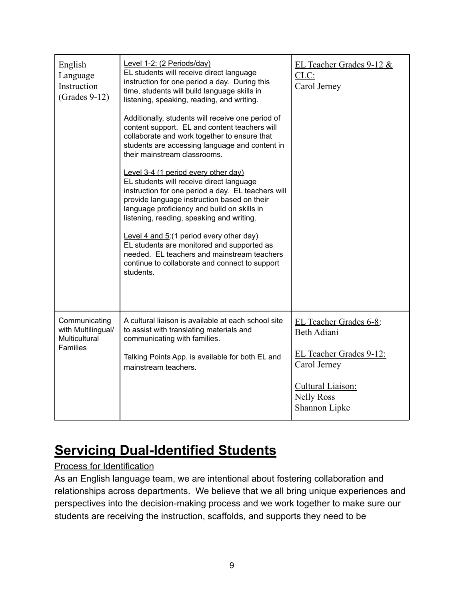| English<br>Language<br>Instruction<br>$(Grades 9-12)$                          | Level 1-2: (2 Periods/day)<br>EL students will receive direct language<br>instruction for one period a day. During this<br>time, students will build language skills in<br>listening, speaking, reading, and writing.<br>Additionally, students will receive one period of<br>content support. EL and content teachers will<br>collaborate and work together to ensure that<br>students are accessing language and content in<br>their mainstream classrooms.<br>Level 3-4 (1 period every other day)<br>EL students will receive direct language<br>instruction for one period a day. EL teachers will<br>provide language instruction based on their<br>language proficiency and build on skills in<br>listening, reading, speaking and writing.<br>Level 4 and $5(1 \text{ period every other day})$<br>EL students are monitored and supported as<br>needed. EL teachers and mainstream teachers<br>continue to collaborate and connect to support<br>students. | EL Teacher Grades 9-12 &<br>$CLC$ :<br>Carol Jerney                                                                                                |
|--------------------------------------------------------------------------------|---------------------------------------------------------------------------------------------------------------------------------------------------------------------------------------------------------------------------------------------------------------------------------------------------------------------------------------------------------------------------------------------------------------------------------------------------------------------------------------------------------------------------------------------------------------------------------------------------------------------------------------------------------------------------------------------------------------------------------------------------------------------------------------------------------------------------------------------------------------------------------------------------------------------------------------------------------------------|----------------------------------------------------------------------------------------------------------------------------------------------------|
| Communicating<br>with Multilingual/<br><b>Multicultural</b><br><b>Families</b> | A cultural liaison is available at each school site<br>to assist with translating materials and<br>communicating with families.<br>Talking Points App. is available for both EL and<br>mainstream teachers.                                                                                                                                                                                                                                                                                                                                                                                                                                                                                                                                                                                                                                                                                                                                                         | EL Teacher Grades 6-8:<br><b>Beth Adiani</b><br>EL Teacher Grades 9-12:<br>Carol Jerney<br>Cultural Liaison:<br><b>Nelly Ross</b><br>Shannon Lipke |

### **Servicing Dual-Identified Students**

### Process for Identification

As an English language team, we are intentional about fostering collaboration and relationships across departments. We believe that we all bring unique experiences and perspectives into the decision-making process and we work together to make sure our students are receiving the instruction, scaffolds, and supports they need to be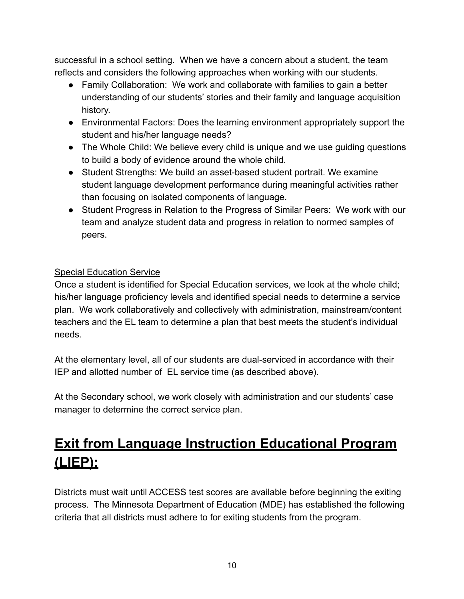successful in a school setting. When we have a concern about a student, the team reflects and considers the following approaches when working with our students.

- Family Collaboration: We work and collaborate with families to gain a better understanding of our students' stories and their family and language acquisition history.
- Environmental Factors: Does the learning environment appropriately support the student and his/her language needs?
- The Whole Child: We believe every child is unique and we use quiding questions to build a body of evidence around the whole child.
- Student Strengths: We build an asset-based student portrait. We examine student language development performance during meaningful activities rather than focusing on isolated components of language.
- Student Progress in Relation to the Progress of Similar Peers: We work with our team and analyze student data and progress in relation to normed samples of peers.

### Special Education Service

Once a student is identified for Special Education services, we look at the whole child; his/her language proficiency levels and identified special needs to determine a service plan. We work collaboratively and collectively with administration, mainstream/content teachers and the EL team to determine a plan that best meets the student's individual needs.

At the elementary level, all of our students are dual-serviced in accordance with their IEP and allotted number of EL service time (as described above).

At the Secondary school, we work closely with administration and our students' case manager to determine the correct service plan.

### **Exit from Language Instruction Educational Program (LIEP):**

Districts must wait until ACCESS test scores are available before beginning the exiting process. The Minnesota Department of Education (MDE) has established the following criteria that all districts must adhere to for exiting students from the program.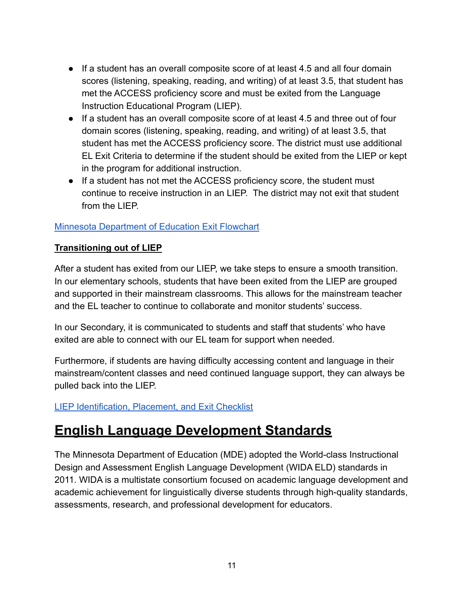- If a student has an overall composite score of at least 4.5 and all four domain scores (listening, speaking, reading, and writing) of at least 3.5, that student has met the ACCESS proficiency score and must be exited from the Language Instruction Educational Program (LIEP).
- If a student has an overall composite score of at least 4.5 and three out of four domain scores (listening, speaking, reading, and writing) of at least 3.5, that student has met the ACCESS proficiency score. The district must use additional EL Exit Criteria to determine if the student should be exited from the LIEP or kept in the program for additional instruction.
- If a student has not met the ACCESS proficiency score, the student must continue to receive instruction in an LIEP. The district may not exit that student from the LIFP

#### [Minnesota Department of Education Exit Flowchart](https://education.mn.gov/mdeprod/groups/educ/documents/hiddencontent/bwrl/mdcz/~edisp/mde073276.pdf)

#### **Transitioning out of LIEP**

After a student has exited from our LIEP, we take steps to ensure a smooth transition. In our elementary schools, students that have been exited from the LIEP are grouped and supported in their mainstream classrooms. This allows for the mainstream teacher and the EL teacher to continue to collaborate and monitor students' success.

In our Secondary, it is communicated to students and staff that students' who have exited are able to connect with our EL team for support when needed.

Furthermore, if students are having difficulty accessing content and language in their mainstream/content classes and need continued language support, they can always be pulled back into the LIEP.

#### [LIEP Identification, Placement, and Exit Checklist](https://docs.google.com/document/d/1Xbo-GCuv7-KxJgJrXaSC6IDmzOx2SNRdAihyaihL4N0/edit)

### **English Language Development Standards**

The Minnesota Department of Education (MDE) adopted the World-class Instructional Design and Assessment English Language Development (WIDA ELD) standards in 2011. WIDA is a multistate consortium focused on academic language development and academic achievement for linguistically diverse students through high-quality standards, assessments, research, and professional development for educators.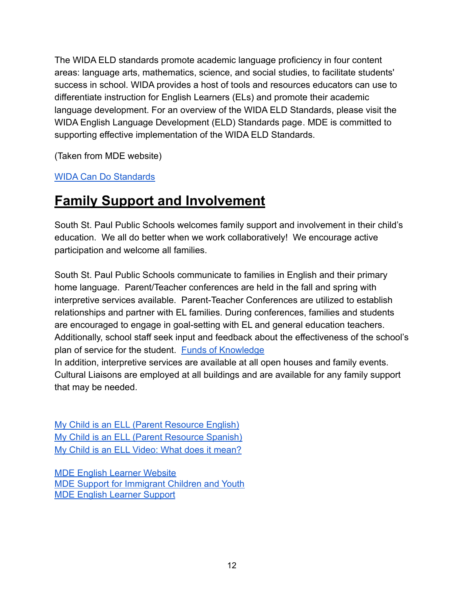The WIDA ELD standards promote academic language proficiency in four content areas: language arts, mathematics, science, and social studies, to facilitate students' success in school. WIDA provides a host of tools and resources educators can use to differentiate instruction for English Learners (ELs) and promote their academic language development. For an overview of the WIDA ELD Standards, please visit the [WIDA English Language Development \(ELD\) Standards page.](http://wida.us/standards/eld.aspx) MDE is committed to supporting effective implementation of the WIDA ELD Standards.

(Taken from MDE website)

[WIDA Can Do Standards](https://wida.wisc.edu/resources?keys=&field_category%5B12%5D=12)

### **Family Support and Involvement**

South St. Paul Public Schools welcomes family support and involvement in their child's education. We all do better when we work collaboratively! We encourage active participation and welcome all families.

South St. Paul Public Schools communicate to families in English and their primary home language. Parent/Teacher conferences are held in the fall and spring with interpretive services available. Parent-Teacher Conferences are utilized to establish relationships and partner with EL families. During conferences, families and students are encouraged to engage in goal-setting with EL and general education teachers. Additionally, school staff seek input and feedback about the effectiveness of the school's plan of service for the student. [Funds of Knowledge](https://docs.google.com/document/d/1VR_aCqCEscatjptqWNIgc26jOKuLXKZD0W85haG9SNo/edit)

In addition, interpretive services are available at all open houses and family events. Cultural Liaisons are employed at all buildings and are available for any family support that may be needed.

[My Child is an ELL \(Parent Resource English\)](https://wida.wisc.edu/sites/default/files/resource/My-Child-is-an-ELL-Flyer-English.pdf) [My Child is an ELL \(Parent Resource Spanish\)](https://wida.wisc.edu/sites/default/files/resource/My-Child-ELL-flyer-SPANISH.pdf) [My Child is an ELL Video: What does it mean?](https://wida.wisc.edu/resources/my-child-ell-1-what-does-it-mean-be-english-language-learner)

[MDE English Learner Website](https://education.mn.gov/MDE/dse/el/) [MDE Support for Immigrant Children and Youth](https://education.mn.gov/MDE/dse/ESEA/t3/imm/index.htm) [MDE English Learner Support](https://education.mn.gov/MDE/dse/el/sup/)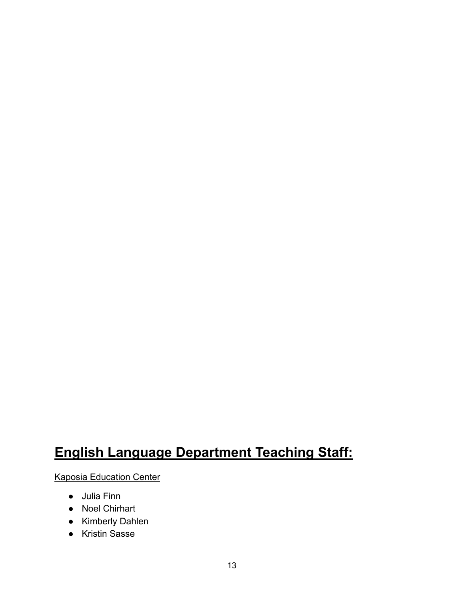### **English Language Department Teaching Staff:**

Kaposia Education Center

- Julia Finn
- Noel Chirhart
- Kimberly Dahlen
- Kristin Sasse